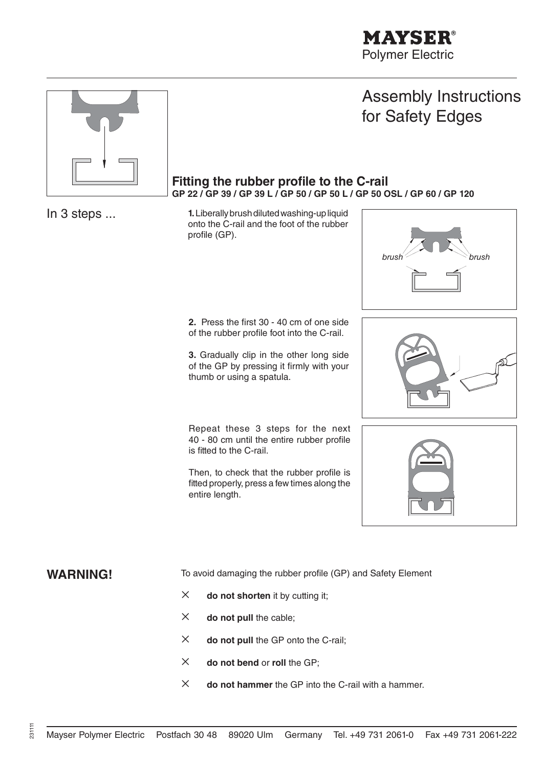

# Assembly Instructions for Safety Edges

#### Fitting the rubber profile to the C-rail **GP 22 / GP 39 / GP 39 L / GP 50 / GP 50 L / GP 50 OSL / GP 60 / GP 120**

In 3 steps ... **1.** Liberally brush diluted washing-up liquid onto the C-rail and the foot of the rubber profile (GP).

> **2.** Press the first 30 - 40 cm of one side of the rubber profile foot into the C-rail.

> **3.** Gradually clip in the other long side of the GP by pressing it firmly with your thumb or using a spatula.

 Repeat these 3 steps for the next 40 - 80 cm until the entire rubber profile is fitted to the C-rail.

Then, to check that the rubber profile is fitted properly, press a few times along the entire length.







**WARNING!** To avoid damaging the rubber profile (GP) and Safety Element

- $\times$  **do not shorten** it by cutting it;
- $\times$  **do not pull the cable;**
- **do not pull** the GP onto the C-rail;
- **do not bend** or **roll** the GP;
- **do not hammer** the GP into the C-rail with a hammer.